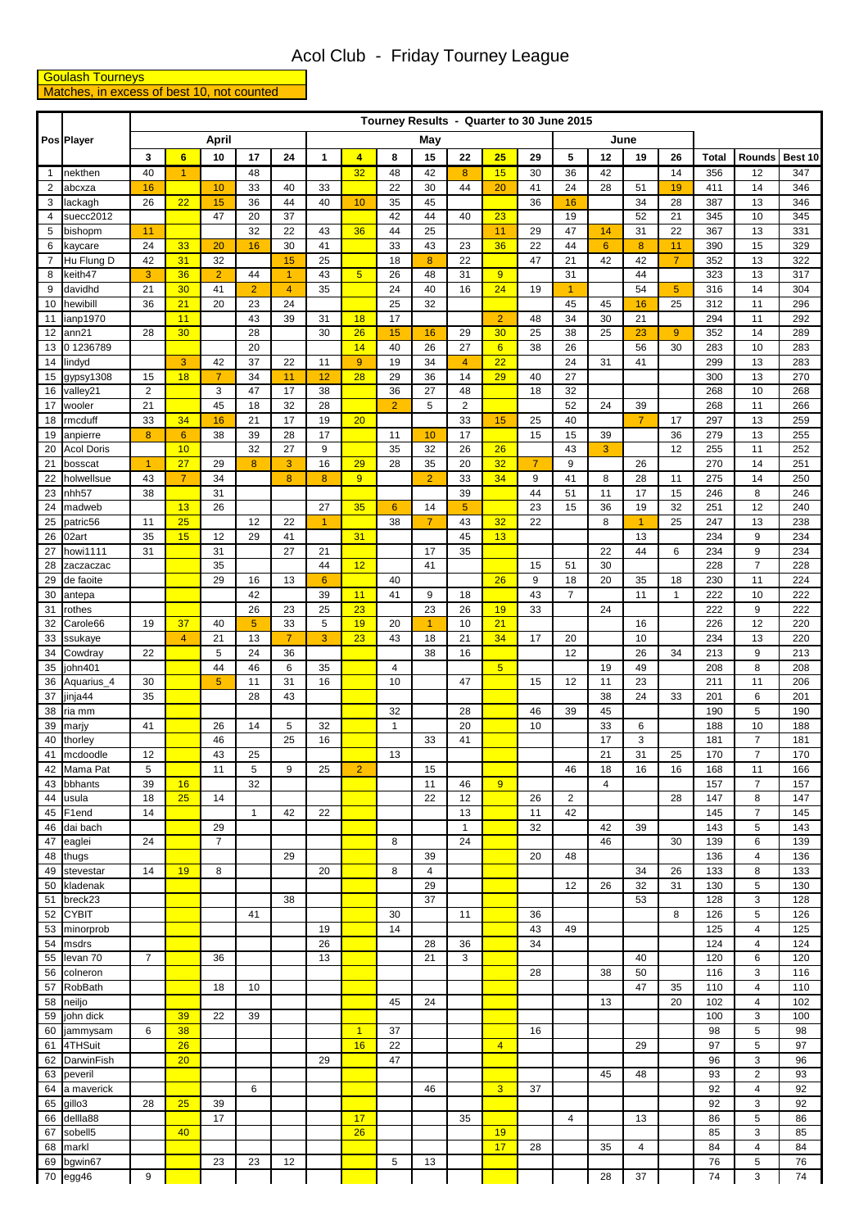## Acol Club - Friday Tourney League

## **Goulash Tourneys** Matches, in excess of best 10, not counted

| Pos Player<br>$\overline{1}$<br>2<br>3<br>$\overline{4}$ | nekthen                | $\mathbf{3}$   | $6\phantom{1}$       | April                |                | Tourney Results - Quarter to 30 June 2015<br>June<br>May |                |                         |                    |                |                       |                 |                |                 |                |                      |                      |            |                      |            |
|----------------------------------------------------------|------------------------|----------------|----------------------|----------------------|----------------|----------------------------------------------------------|----------------|-------------------------|--------------------|----------------|-----------------------|-----------------|----------------|-----------------|----------------|----------------------|----------------------|------------|----------------------|------------|
|                                                          |                        |                |                      |                      |                |                                                          |                |                         |                    |                |                       |                 |                |                 |                |                      |                      |            |                      |            |
|                                                          |                        |                |                      | 10                   | 17             | 24                                                       | $\mathbf{1}$   | $\overline{\mathbf{4}}$ | 8                  | 15             | 22                    | 25              | 29             | 5               | 12             | 19                   | 26                   | Total      | <b>Rounds</b>        | Best 10    |
|                                                          |                        | 40             | $\blacktriangleleft$ |                      | 48             |                                                          |                | 32                      | 48                 | 42             | 8                     | 15              | 30             | 36              | 42             |                      | 14                   | 356        | 12                   | 347        |
|                                                          | abcxza                 | 16             |                      | 10                   | 33             | 40                                                       | 33             |                         | 22                 | 30             | 44                    | 20              | 41             | 24              | 28             | 51                   | 19                   | 411        | 14                   | 346        |
|                                                          | lackagh                | 26             | 22                   | 15                   | 36             | 44                                                       | 40             | 10                      | 35                 | 45             |                       |                 | 36             | 16              |                | 34                   | 28                   | 387        | 13                   | 346        |
|                                                          | suecc2012              |                |                      | 47                   | 20             | 37                                                       |                |                         | 42                 | 44             | 40                    | 23              |                | 19              |                | 52                   | 21                   | 345        | 10                   | 345        |
| 5                                                        | bishopm                | 11             |                      |                      | 32             | 22                                                       | 43             | 36                      | 44                 | 25             |                       | 11              | 29             | 47              | 14             | 31                   | 22                   | 367        | 13                   | 331        |
| 6                                                        | kaycare                | 24             | 33                   | 20                   | 16             | 30                                                       | 41             |                         | 33                 | 43             | 23<br>$\overline{22}$ | 36              | 22             | 44              | $6\phantom{a}$ | 8                    | 11<br>$\overline{7}$ | 390        | 15                   | 329        |
| $\overline{7}$<br>8                                      | Hu Flung D<br>keith47  | 42<br>3        | 31<br>36             | 32<br>$\overline{2}$ | 44             | 15<br>$\blacktriangleleft$                               | 25<br>43       | 5 <sub>5</sub>          | 18<br>26           | 8<br>48        | 31                    | 9               | 47             | 21<br>31        | 42             | 42<br>44             |                      | 352<br>323 | 13<br>13             | 322<br>317 |
| 9                                                        | davidhd                | 21             | 30                   | 41                   | $\overline{2}$ | $\overline{4}$                                           | 35             |                         | 24                 | 40             | 16                    | 24              | 19             | $\overline{1}$  |                | 54                   | 5 <sup>5</sup>       | 316        | 14                   | 304        |
| 10                                                       | hewibill               | 36             | 21                   | 20                   | 23             | 24                                                       |                |                         | $\overline{25}$    | 32             |                       |                 |                | 45              | 45             | 16                   | 25                   | 312        | 11                   | 296        |
| 11                                                       | ianp1970               |                | 11                   |                      | 43             | 39                                                       | 31             | 18                      | 17                 |                |                       | $\overline{2}$  | 48             | 34              | 30             | 21                   |                      | 294        | 11                   | 292        |
| ann21<br>12                                              |                        | 28             | 30                   |                      | 28             |                                                          | 30             | 26                      | 15                 | 16             | 29                    | 30              | 25             | 38              | 25             | 23                   | 9                    | 352        | 14                   | 289        |
| 13                                                       | 01236789               |                |                      |                      | 20             |                                                          |                | 14                      | 40                 | 26             | 27                    | $6\overline{6}$ | 38             | 26              |                | 56                   | 30                   | 283        | 10                   | 283        |
| 14<br>lindyd                                             |                        |                | 3                    | 42                   | 37             | 22                                                       | 11             | 9                       | 19                 | 34             | $\overline{4}$        | 22              |                | 24              | 31             | 41                   |                      | 299        | 13                   | 283        |
| 15                                                       | gypsy1308              | 15             | 18                   | $\overline{7}$       | 34             | 11                                                       | 12             | 28                      | 29                 | 36             | 14                    | 29              | 40             | 27              |                |                      |                      | 300        | 13                   | 270        |
| 16                                                       | valley21               | $\overline{2}$ |                      | 3                    | 47             | 17                                                       | 38             |                         | 36                 | 27             | 48                    |                 | 18             | 32              |                |                      |                      | 268        | 10                   | 268        |
| 17<br>18                                                 | wooler                 | 21<br>33       | 34                   | 45                   | 18<br>21       | 32<br>17                                                 | 28<br>19       | 20                      | $\overline{2}$     | 5              | $\overline{2}$<br>33  | 15              | 25             | 52<br>40        | 24             | 39<br>$\overline{7}$ | 17                   | 268        | 11<br>13             | 266<br>259 |
| 19                                                       | rmcduff<br>anpierre    | 8              | 6                    | 16<br>38             | 39             | 28                                                       | 17             |                         | 11                 | 10             | 17                    |                 | 15             | 15              | 39             |                      | 36                   | 297<br>279 | 13                   | 255        |
| 20                                                       | <b>Acol Doris</b>      |                | 10                   |                      | 32             | 27                                                       | 9              |                         | 35                 | 32             | 26                    | 26              |                | 43              | 3              |                      | 12                   | 255        | 11                   | 252        |
| 21                                                       | bosscat                | $\overline{1}$ | 27                   | 29                   | 8              | 3                                                        | 16             | 29                      | 28                 | 35             | 20                    | 32              | $\overline{7}$ | 9               |                | 26                   |                      | 270        | 14                   | 251        |
| 22                                                       | holwellsue             | 43             | $\overline{7}$       | 34                   |                | 8                                                        | 8              | 9                       |                    | $\overline{2}$ | 33                    | 34              | 9              | 41              | 8              | 28                   | 11                   | 275        | 14                   | 250        |
| 23                                                       | nhh <sub>57</sub>      | 38             |                      | 31                   |                |                                                          |                |                         |                    |                | 39                    |                 | 44             | 51              | 11             | 17                   | 15                   | 246        | 8                    | 246        |
| 24                                                       | madweb                 |                | 13                   | 26                   |                |                                                          | 27             | 35                      | 6                  | 14             | 5                     |                 | 23             | 15              | 36             | 19                   | 32                   | 251        | 12                   | 240        |
| 25                                                       | patric56               | 11             | 25                   |                      | 12             | 22                                                       | $\overline{1}$ |                         | 38                 | $\overline{7}$ | 43                    | 32              | 22             |                 | 8              | $\overline{1}$       | 25                   | 247        | 13                   | 238        |
| 26<br>02art                                              |                        | 35             | 15                   | 12                   | 29             | 41                                                       |                | 31                      |                    |                | 45                    | 13              |                |                 |                | 13                   |                      | 234        | 9                    | 234        |
| 27                                                       | howi1111               | 31             |                      | 31                   |                | 27                                                       | 21             |                         |                    | 17             | 35                    |                 |                |                 | 22             | 44                   | 6                    | 234        | 9                    | 234        |
| 28<br>29                                                 | zaczaczac<br>de faoite |                |                      | 35<br>29             | 16             | 13                                                       | 44<br>6        | 12                      | 40                 | 41             |                       | 26              | 15<br>9        | 51<br>18        | 30<br>20       | 35                   | 18                   | 228<br>230 | $\overline{7}$<br>11 | 228<br>224 |
| 30                                                       | antepa                 |                |                      |                      | 42             |                                                          | 39             | 11                      | 41                 | 9              | 18                    |                 | 43             | $\overline{7}$  |                | 11                   | $\mathbf{1}$         | 222        | 10                   | 222        |
| 31<br>rothes                                             |                        |                |                      |                      | 26             | 23                                                       | 25             | 23                      |                    | 23             | 26                    | 19              | 33             |                 | 24             |                      |                      | 222        | 9                    | 222        |
| 32                                                       | Carole66               | 19             | 37                   | 40                   | 5              | 33                                                       | 5              | 19                      | 20                 | $\mathbf{1}$   | 10                    | 21              |                |                 |                | 16                   |                      | 226        | 12                   | 220        |
| 33                                                       | ssukaye                |                | $\overline{4}$       | 21                   | 13             | $\overline{7}$                                           | 3              | 23                      | 43                 | 18             | 21                    | 34              | 17             | 20              |                | 10                   |                      | 234        | 13                   | 220        |
| 34                                                       | Cowdray                | 22             |                      | 5                    | 24             | 36                                                       |                |                         |                    | 38             | 16                    |                 |                | $\overline{12}$ |                | 26                   | 34                   | 213        | 9                    | 213        |
| $\overline{35}$ john401                                  |                        |                |                      | 44                   | 46             | 6                                                        | 35             |                         | 4                  |                |                       | 5 <sup>5</sup>  |                |                 | $19$           | 49                   |                      | 208        | 8                    | 208        |
| 36                                                       | Aquarius_4             | 30             |                      | 5                    | 11             | 31                                                       | 16             |                         | 10                 |                | 47                    |                 | 15             | 12              | 11             | 23                   |                      | 211        | 11                   | 206        |
| 37                                                       | jinja44                | 35             |                      |                      | 28             | 43                                                       |                |                         |                    |                |                       |                 |                |                 | 38             | 24                   | 33                   | 201        | 6                    | 201        |
| 38<br>39<br>marjy                                        | ria mm                 | 41             |                      | 26                   | 14             | 5                                                        | 32             |                         | 32<br>$\mathbf{1}$ |                | 28<br>20              |                 | 46<br>10       | 39              | 45<br>33       | 6                    |                      | 190<br>188 | 5<br>10              | 190<br>188 |
| 40                                                       | thorley                |                |                      | 46                   |                | 25                                                       | 16             |                         |                    | 33             | 41                    |                 |                |                 | 17             | 3                    |                      | 181        | $\overline{7}$       | 181        |
| 41                                                       | mcdoodle               | 12             |                      | 43                   | 25             |                                                          |                |                         | 13                 |                |                       |                 |                |                 | 21             | 31                   | 25                   | 170        | $\overline{7}$       | 170        |
| 42                                                       | Mama Pat               | 5              |                      | 11                   | $\mathbf 5$    | 9                                                        | 25             | $\overline{2}$          |                    | 15             |                       |                 |                | 46              | 18             | 16                   | 16                   | 168        | 11                   | 166        |
| 43                                                       | bbhants                | 39             | 16                   |                      | 32             |                                                          |                |                         |                    | 11             | 46                    | 9               |                |                 | 4              |                      |                      | 157        | $\overline{7}$       | 157        |
| 44<br>usula                                              |                        | 18             | 25                   | 14                   |                |                                                          |                |                         |                    | 22             | 12                    |                 | 26             | $\overline{2}$  |                |                      | 28                   | 147        | 8                    | 147        |
| 45                                                       | F1end                  | 14             |                      |                      | $\mathbf{1}$   | 42                                                       | 22             |                         |                    |                | 13                    |                 | 11             | 42              |                |                      |                      | 145        | $\boldsymbol{7}$     | 145        |
| 46                                                       | dai bach               |                |                      | 29                   |                |                                                          |                |                         |                    |                | $\mathbf{1}$          |                 | 32             |                 | 42             | 39                   |                      | 143        | 5                    | 143        |
| 47<br>eaglei                                             |                        | 24             |                      | $\overline{7}$       |                |                                                          |                |                         | 8                  | 39             | 24                    |                 | 20             | 48              | 46             |                      | 30                   | 139        | 6<br>4               | 139        |
| 48<br>thugs<br>49                                        | stevestar              | 14             | 19                   | 8                    |                | 29                                                       | 20             |                         | 8                  | 4              |                       |                 |                |                 |                | 34                   | 26                   | 136<br>133 | 8                    | 136<br>133 |
| 50                                                       | kladenak               |                |                      |                      |                |                                                          |                |                         |                    | 29             |                       |                 |                | 12              | 26             | 32                   | 31                   | 130        | 5                    | 130        |
| 51                                                       | breck23                |                |                      |                      |                | 38                                                       |                |                         |                    | 37             |                       |                 |                |                 |                | 53                   |                      | 128        | 3                    | 128        |
| <b>CYBIT</b><br>52                                       |                        |                |                      |                      | 41             |                                                          |                |                         | 30                 |                | 11                    |                 | 36             |                 |                |                      | 8                    | 126        | 5                    | 126        |
| 53                                                       | minorprob              |                |                      |                      |                |                                                          | 19             |                         | 14                 |                |                       |                 | 43             | 49              |                |                      |                      | 125        | 4                    | 125        |
| 54<br>msdrs                                              |                        |                |                      |                      |                |                                                          | 26             |                         |                    | 28             | 36                    |                 | 34             |                 |                |                      |                      | 124        | 4                    | 124        |
| 55                                                       | levan 70               | $\overline{7}$ |                      | 36                   |                |                                                          | 13             |                         |                    | 21             | 3                     |                 |                |                 |                | 40                   |                      | 120        | 6                    | 120        |
| 56                                                       | colneron               |                |                      |                      |                |                                                          |                |                         |                    |                |                       |                 | 28             |                 | 38             | 50                   |                      | 116        | 3                    | 116        |
| 57<br>58                                                 | <b>RobBath</b>         |                |                      | 18                   | 10             |                                                          |                |                         | 45                 | 24             |                       |                 |                |                 | 13             | 47                   | 35<br>20             | 110<br>102 | 4<br>$\overline{4}$  | 110<br>102 |
| neiljo<br>59                                             | john dick              |                | 39                   | 22                   | 39             |                                                          |                |                         |                    |                |                       |                 |                |                 |                |                      |                      | 100        | 3                    | 100        |
| 60                                                       | jammysam               | 6              | 38                   |                      |                |                                                          |                | $\overline{1}$          | 37                 |                |                       |                 | 16             |                 |                |                      |                      | 98         | 5                    | 98         |
| 61                                                       | 4THSuit                |                | 26                   |                      |                |                                                          |                | 16                      | 22                 |                |                       | $\overline{4}$  |                |                 |                | 29                   |                      | 97         | 5                    | 97         |
| 62                                                       | DarwinFish             |                | 20                   |                      |                |                                                          | 29             |                         | 47                 |                |                       |                 |                |                 |                |                      |                      | 96         | 3                    | 96         |
| 63                                                       | peveril                |                |                      |                      |                |                                                          |                |                         |                    |                |                       |                 |                |                 | 45             | 48                   |                      | 93         | $\overline{2}$       | 93         |
| 64                                                       | a maverick             |                |                      |                      | 6              |                                                          |                |                         |                    | 46             |                       | 3               | 37             |                 |                |                      |                      | 92         | 4                    | 92         |
| gillo3<br>65                                             |                        | 28             | 25                   | 39                   |                |                                                          |                |                         |                    |                |                       |                 |                |                 |                |                      |                      | 92         | 3                    | 92         |
| 66                                                       | dellla88               |                |                      | 17                   |                |                                                          |                | 17                      |                    |                | 35                    |                 |                | 4               |                | 13                   |                      | 86         | 5                    | 86         |
| 67                                                       | sobell5                |                | 40                   |                      |                |                                                          |                | 26                      |                    |                |                       | 19<br>17        |                |                 |                |                      |                      | 85         | 3                    | 85         |
| 68<br>markl<br>69                                        | bgwin67                |                |                      | 23                   | 23             | 12                                                       |                |                         | 5                  | 13             |                       |                 | 28             |                 | 35             | 4                    |                      | 84<br>76   | 4<br>5               | 84<br>76   |
| egg46<br>70                                              |                        | 9              |                      |                      |                |                                                          |                |                         |                    |                |                       |                 |                |                 | 28             | 37                   |                      | 74         | 3                    | 74         |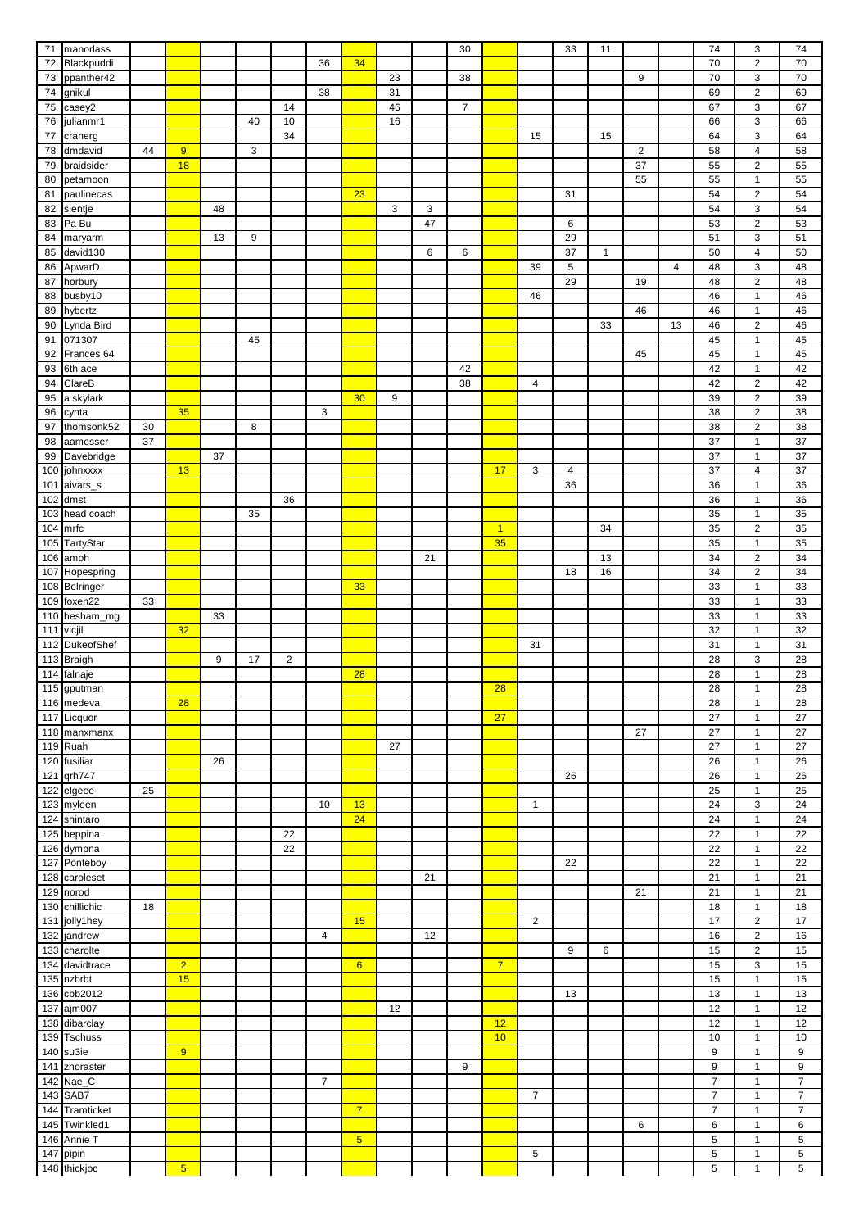| $71$             | manorlass                   |                 |                |    |       |      |                |                         |            |    | 30             |                |                | 33          | 11           |                  |                | 74               | 3                         | 74                                    |
|------------------|-----------------------------|-----------------|----------------|----|-------|------|----------------|-------------------------|------------|----|----------------|----------------|----------------|-------------|--------------|------------------|----------------|------------------|---------------------------|---------------------------------------|
| 72               | Blackpuddi                  |                 |                |    |       |      | 36             | 34                      |            |    |                |                |                |             |              |                  |                | 70               | $\sqrt{2}$                | $\overline{70}$                       |
| 73               | ppanther42                  |                 |                |    |       |      |                |                         | 23         |    | 38             |                |                |             |              | 9                |                | 70               | $\ensuremath{\mathsf{3}}$ | 70                                    |
|                  |                             |                 |                |    |       |      | 38             |                         | 31         |    |                |                |                |             |              |                  |                | 69               | $\mathbf 2$               | 69                                    |
| ${\bf 74}$       | gnikul                      |                 |                |    |       |      |                |                         |            |    |                |                |                |             |              |                  |                |                  |                           |                                       |
| ${\bf 75}$       | casey2                      |                 |                |    |       | 14   |                |                         | 46         |    | $\overline{7}$ |                |                |             |              |                  |                | 67               | $\mathsf 3$               | 67                                    |
| 76               | julianmr1                   |                 |                |    | 40    | $10$ |                |                         | 16         |    |                |                |                |             |              |                  |                | 66               | $\mathsf 3$               | 66                                    |
| $77 \,$          | cranerg                     |                 |                |    |       | 34   |                |                         |            |    |                |                | 15             |             | 15           |                  |                | 64               | $\mathbf{3}$              | 64                                    |
| 78               | dmdavid                     | 44              | 9              |    | 3     |      |                |                         |            |    |                |                |                |             |              | $\boldsymbol{2}$ |                | 58               | $\overline{4}$            | 58                                    |
| 79               | braidsider                  |                 | 18             |    |       |      |                |                         |            |    |                |                |                |             |              | 37               |                | 55               | $\sqrt{2}$                | 55                                    |
| 80               | petamoon                    |                 |                |    |       |      |                |                         |            |    |                |                |                |             |              | 55               |                | 55               | $\mathbf{1}$              | 55                                    |
| 81               | paulinecas                  |                 |                |    |       |      |                | 23                      |            |    |                |                |                | 31          |              |                  |                | 54               | $\sqrt{2}$                | 54                                    |
| 82               | sientje                     |                 |                | 48 |       |      |                |                         | $\sqrt{3}$ | 3  |                |                |                |             |              |                  |                | 54               | $\mathsf 3$               | 54                                    |
| 83               | Pa Bu                       |                 |                |    |       |      |                |                         |            | 47 |                |                |                | 6           |              |                  |                | 53               | $\overline{c}$            | 53                                    |
| 84               | maryarm                     |                 |                | 13 | $9\,$ |      |                |                         |            |    |                |                |                | 29          |              |                  |                | 51               | 3                         | 51                                    |
|                  |                             |                 |                |    |       |      |                |                         |            |    |                |                |                |             |              |                  |                |                  |                           |                                       |
| 85               | david130                    |                 |                |    |       |      |                |                         |            | 6  | 6              |                |                | 37          | $\mathbf{1}$ |                  |                | 50               | $\overline{\mathbf{4}}$   | 50                                    |
| 86               | ApwarD                      |                 |                |    |       |      |                |                         |            |    |                |                | 39             | $\mathbf 5$ |              |                  | $\overline{4}$ | 48               | $\ensuremath{\mathsf{3}}$ | 48                                    |
| 87               | horbury                     |                 |                |    |       |      |                |                         |            |    |                |                |                | 29          |              | 19               |                | 48               | $\mathbf 2$               | 48                                    |
| 88               | busby10                     |                 |                |    |       |      |                |                         |            |    |                |                | 46             |             |              |                  |                | 46               | $\mathbf{1}$              | 46                                    |
| 89               | hybertz                     |                 |                |    |       |      |                |                         |            |    |                |                |                |             |              | 46               |                | 46               | $\mathbf{1}$              | 46                                    |
| 90               | Lynda Bird                  |                 |                |    |       |      |                |                         |            |    |                |                |                |             | 33           |                  | 13             | 46               | $\sqrt{2}$                | 46                                    |
| 91               | 071307                      |                 |                |    | 45    |      |                |                         |            |    |                |                |                |             |              |                  |                | 45               | $\mathbf{1}$              | 45                                    |
| 92               | Frances 64                  |                 |                |    |       |      |                |                         |            |    |                |                |                |             |              | 45               |                | 45               | $\mathbf{1}$              | 45                                    |
| 93               | 6th ace                     |                 |                |    |       |      |                |                         |            |    | 42             |                |                |             |              |                  |                | 42               | $\mathbf{1}$              | 42                                    |
| 94               | $\overline{\text{Clare}}$ B |                 |                |    |       |      |                |                         |            |    | 38             |                | 4              |             |              |                  |                | 42               | $\overline{c}$            | 42                                    |
| 95               | a skylark                   |                 |                |    |       |      |                | 30                      | 9          |    |                |                |                |             |              |                  |                | 39               | $\sqrt{2}$                | 39                                    |
|                  |                             |                 | 35             |    |       |      | 3              |                         |            |    |                |                |                |             |              |                  |                | 38               | $\sqrt{2}$                | $\overline{38}$                       |
| 96               | cynta                       |                 |                |    |       |      |                |                         |            |    |                |                |                |             |              |                  |                |                  |                           |                                       |
| 97               | thomsonk52                  | 30              |                |    | 8     |      |                |                         |            |    |                |                |                |             |              |                  |                | 38               | $\sqrt{2}$                | 38                                    |
| 98               | aamesser                    | $\overline{37}$ |                |    |       |      |                |                         |            |    |                |                |                |             |              |                  |                | $\overline{37}$  | $\mathbf{1}$              | 37                                    |
| 99               | Davebridge                  |                 |                | 37 |       |      |                |                         |            |    |                |                |                |             |              |                  |                | 37               | $\mathbf{1}$              | 37                                    |
|                  | 100 johnxxxx                |                 | 13             |    |       |      |                |                         |            |    |                | 17             | 3              | 4           |              |                  |                | 37               | 4                         | 37                                    |
|                  | 101 aivars_s                |                 |                |    |       |      |                |                         |            |    |                |                |                | 36          |              |                  |                | 36               | $\mathbf{1}$              | 36                                    |
|                  | 102 dmst                    |                 |                |    |       | 36   |                |                         |            |    |                |                |                |             |              |                  |                | 36               | $\mathbf{1}$              | 36                                    |
|                  | 103 head coach              |                 |                |    | 35    |      |                |                         |            |    |                |                |                |             |              |                  |                | 35               | $\mathbf{1}$              | 35                                    |
|                  | $104$ mrfc                  |                 |                |    |       |      |                |                         |            |    |                | $\overline{1}$ |                |             | 34           |                  |                | 35               | $\sqrt{2}$                | 35                                    |
|                  | 105 TartyStar               |                 |                |    |       |      |                |                         |            |    |                | 35             |                |             |              |                  |                | 35               | $\mathbf{1}$              | 35                                    |
|                  | 106 amoh                    |                 |                |    |       |      |                |                         |            | 21 |                |                |                |             | 13           |                  |                | 34               | $\sqrt{2}$                | 34                                    |
| 107              |                             |                 |                |    |       |      |                |                         |            |    |                |                |                | 18          | 16           |                  |                | 34               | $\sqrt{2}$                | 34                                    |
|                  | Hopespring                  |                 |                |    |       |      |                |                         |            |    |                |                |                |             |              |                  |                |                  |                           |                                       |
|                  | 108 Belringer               |                 |                |    |       |      |                | 33                      |            |    |                |                |                |             |              |                  |                | 33               | $\mathbf{1}$              | 33                                    |
|                  | 109 foxen22                 | 33              |                |    |       |      |                |                         |            |    |                |                |                |             |              |                  |                | 33               | $\mathbf{1}$              | 33                                    |
|                  | 110 hesham_mg               |                 |                | 33 |       |      |                |                         |            |    |                |                |                |             |              |                  |                | 33               | $\mathbf{1}$              | 33                                    |
| 111 vicjil       |                             |                 | 32             |    |       |      |                |                         |            |    |                |                |                |             |              |                  |                | 32               | $\mathbf{1}$              | 32                                    |
|                  | 112 DukeofShef              |                 |                |    |       |      |                |                         |            |    |                |                | 31             |             |              |                  |                | 31               | $\mathbf{1}$              | 31                                    |
|                  | 113 Braigh                  |                 |                | 9  | 17    | 2    |                |                         |            |    |                |                |                |             |              |                  |                | 28               | $\ensuremath{\mathsf{3}}$ | 28                                    |
|                  | 114 falnaje                 |                 |                |    |       |      |                | 28                      |            |    |                |                |                |             |              |                  |                | 28               | $\mathbf{1}$              | 28                                    |
|                  | 115 gputman                 |                 |                |    |       |      |                |                         |            |    |                | 28             |                |             |              |                  |                | $\overline{28}$  | $\mathbf{1}$              | $\overline{28}$                       |
|                  | 116 medeva                  |                 | 28             |    |       |      |                |                         |            |    |                |                |                |             |              |                  |                | 28               | $\mathbf{1}$              | 28                                    |
|                  | 117 Licquor                 |                 |                |    |       |      |                |                         |            |    |                | 27             |                |             |              |                  |                | 27               | $\mathbf{1}$              | 27                                    |
|                  | 118 manxmanx                |                 |                |    |       |      |                |                         |            |    |                |                |                |             |              | 27               |                | 27               | $\mathbf{1}$              | 27                                    |
|                  | 119 Ruah                    |                 |                |    |       |      |                |                         | 27         |    |                |                |                |             |              |                  |                | $\overline{27}$  | $\mathbf{1}$              | 27                                    |
|                  | 120 fusiliar                |                 |                | 26 |       |      |                |                         |            |    |                |                |                |             |              |                  |                | 26               | $\mathbf{1}$              | 26                                    |
|                  |                             |                 |                |    |       |      |                |                         |            |    |                |                |                |             |              |                  |                |                  |                           |                                       |
|                  | 121 qrh747                  |                 |                |    |       |      |                |                         |            |    |                |                |                | 26          |              |                  |                | 26               | $\mathbf{1}$              | 26                                    |
|                  | 122 elgeee                  | 25              |                |    |       |      |                |                         |            |    |                |                |                |             |              |                  |                | 25               | $\mathbf{1}$              | 25                                    |
|                  | 123 myleen                  |                 |                |    |       |      | 10             | 13                      |            |    |                |                | $\mathbf{1}$   |             |              |                  |                | 24               | $\mathsf 3$               | 24                                    |
|                  | 124 shintaro                |                 |                |    |       |      |                | 24                      |            |    |                |                |                |             |              |                  |                | 24               | $\mathbf{1}$              | 24                                    |
|                  | 125 beppina                 |                 |                |    |       | 22   |                |                         |            |    |                |                |                |             |              |                  |                | 22               | $\mathbf{1}$              | 22                                    |
|                  | 126 dympna                  |                 |                |    |       | 22   |                |                         |            |    |                |                |                |             |              |                  |                | 22               | $\mathbf{1}$              | 22                                    |
|                  | 127 Ponteboy                |                 |                |    |       |      |                |                         |            |    |                |                |                | 22          |              |                  |                | 22               | $\mathbf{1}$              | 22                                    |
|                  | 128 caroleset               |                 |                |    |       |      |                |                         |            | 21 |                |                |                |             |              |                  |                | 21               | $\mathbf{1}$              | 21                                    |
| 129              | norod                       |                 |                |    |       |      |                |                         |            |    |                |                |                |             |              | 21               |                | 21               | $\mathbf{1}$              | 21                                    |
| 130              | chillichic                  | 18              |                |    |       |      |                |                         |            |    |                |                |                |             |              |                  |                | 18               | $\mathbf{1}$              | 18                                    |
| $\overline{131}$ | jolly1hey                   |                 |                |    |       |      |                | 15                      |            |    |                |                | $\overline{c}$ |             |              |                  |                | $\overline{17}$  | $\sqrt{2}$                | $\overline{17}$                       |
|                  | 132 jandrew                 |                 |                |    |       |      | 4              |                         |            | 12 |                |                |                |             |              |                  |                | 16               | $\overline{c}$            | 16                                    |
| 133              | charolte                    |                 |                |    |       |      |                |                         |            |    |                |                |                | 9           | 6            |                  |                | 15               | $\overline{c}$            | 15                                    |
|                  | 134 davidtrace              |                 | $\overline{2}$ |    |       |      |                | $6\phantom{a}$          |            |    |                | $\overline{7}$ |                |             |              |                  |                | 15               | $\mathsf 3$               | 15                                    |
|                  | 135 nzbrbt                  |                 | 15             |    |       |      |                |                         |            |    |                |                |                |             |              |                  |                | 15               |                           | 15                                    |
|                  |                             |                 |                |    |       |      |                |                         |            |    |                |                |                |             |              |                  |                |                  | $\mathbf{1}$              |                                       |
|                  | 136 cbb2012                 |                 |                |    |       |      |                |                         |            |    |                |                |                | 13          |              |                  |                | 13               | $\mathbf{1}$              | 13                                    |
| 137              | ajm007                      |                 |                |    |       |      |                |                         | 12         |    |                |                |                |             |              |                  |                | 12               | $\mathbf{1}$              | 12                                    |
|                  | 138 dibarclay               |                 |                |    |       |      |                |                         |            |    |                | 12             |                |             |              |                  |                | 12               | $\mathbf{1}$              | 12                                    |
|                  | 139 Tschuss                 |                 |                |    |       |      |                |                         |            |    |                | 10             |                |             |              |                  |                | 10               | $\mathbf{1}$              | $10$                                  |
|                  | 140 su3ie                   |                 | 9              |    |       |      |                |                         |            |    |                |                |                |             |              |                  |                | 9                | $\mathbf{1}$              | 9                                     |
|                  | 141 zhoraster               |                 |                |    |       |      |                |                         |            |    | 9              |                |                |             |              |                  |                | $\boldsymbol{9}$ | $\mathbf{1}$              | $\boldsymbol{9}$                      |
|                  | 142 $Nae$ <sub>C</sub>      |                 |                |    |       |      | $\overline{7}$ |                         |            |    |                |                |                |             |              |                  |                | $\boldsymbol{7}$ | $\mathbf{1}$              | $\overline{7}$                        |
|                  | 143 SAB7                    |                 |                |    |       |      |                |                         |            |    |                |                | 7              |             |              |                  |                | $\overline{7}$   | $\mathbf{1}$              | $\overline{7}$                        |
|                  | 144 Tramticket              |                 |                |    |       |      |                | $\overline{7}$          |            |    |                |                |                |             |              |                  |                | $\overline{7}$   | $\mathbf{1}$              | $\overline{7}$                        |
|                  | 145 Twinkled1               |                 |                |    |       |      |                |                         |            |    |                |                |                |             |              | 6                |                | 6                | $\mathbf{1}$              | 6                                     |
|                  | 146 Annie T                 |                 |                |    |       |      |                | $\overline{\mathbf{5}}$ |            |    |                |                |                |             |              |                  |                | 5                | $\mathbf{1}$              | $\mathbf 5$                           |
|                  |                             |                 |                |    |       |      |                |                         |            |    |                |                | $\mathbf 5$    |             |              |                  |                | $\overline{5}$   | $\mathbf{1}$              |                                       |
|                  | 147 pipin<br>148 thickjoc   |                 |                |    |       |      |                |                         |            |    |                |                |                |             |              |                  |                | $\overline{5}$   | $\overline{1}$            | $\begin{array}{c} 5 \\ 5 \end{array}$ |
|                  |                             |                 | 5 <sub>1</sub> |    |       |      |                |                         |            |    |                |                |                |             |              |                  |                |                  |                           |                                       |